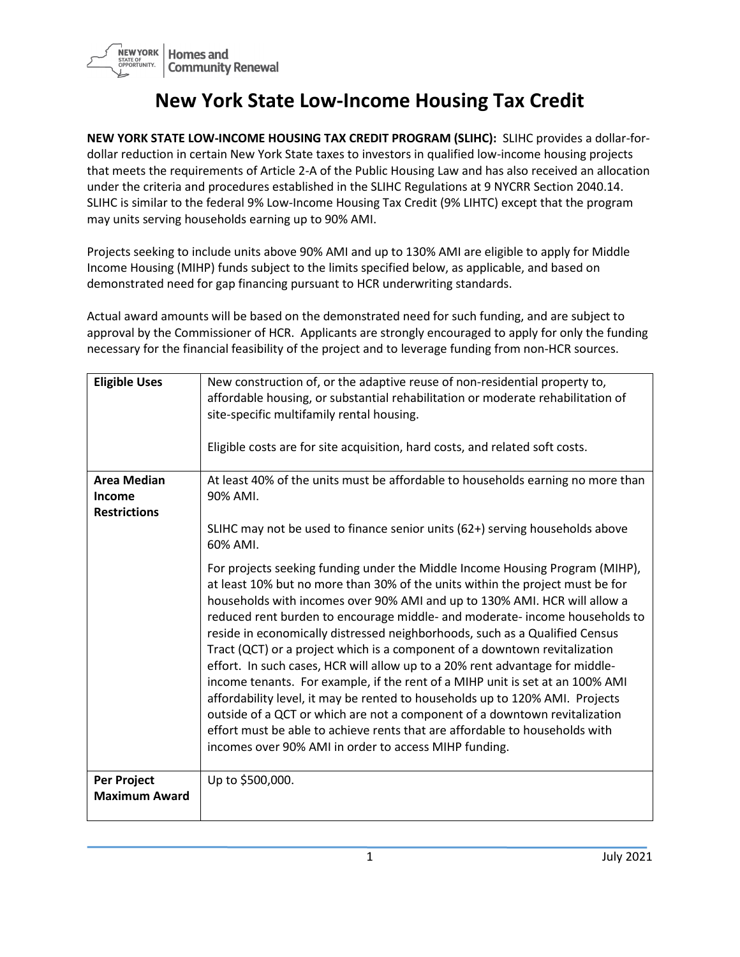

## **New York State Low-Income Housing Tax Credit**

**NEW YORK STATE LOW-INCOME HOUSING TAX CREDIT PROGRAM (SLIHC):** SLIHC provides a dollar-fordollar reduction in certain New York State taxes to investors in qualified low-income housing projects that meets the requirements of Article 2-A of the Public Housing Law and has also received an allocation under the criteria and procedures established in the SLIHC Regulations at 9 NYCRR Section 2040.14. SLIHC is similar to the federal 9% Low-Income Housing Tax Credit (9% LIHTC) except that the program may units serving households earning up to 90% AMI.

Projects seeking to include units above 90% AMI and up to 130% AMI are eligible to apply for Middle Income Housing (MIHP) funds subject to the limits specified below, as applicable, and based on demonstrated need for gap financing pursuant to HCR underwriting standards.

Actual award amounts will be based on the demonstrated need for such funding, and are subject to approval by the Commissioner of HCR. Applicants are strongly encouraged to apply for only the funding necessary for the financial feasibility of the project and to leverage funding from non-HCR sources.

| <b>Eligible Uses</b>                                       | New construction of, or the adaptive reuse of non-residential property to,<br>affordable housing, or substantial rehabilitation or moderate rehabilitation of<br>site-specific multifamily rental housing.<br>Eligible costs are for site acquisition, hard costs, and related soft costs.                                                                                                                                                                                                                                                                                                                                                                                                                                                                                                                                                                                                                                                                                |
|------------------------------------------------------------|---------------------------------------------------------------------------------------------------------------------------------------------------------------------------------------------------------------------------------------------------------------------------------------------------------------------------------------------------------------------------------------------------------------------------------------------------------------------------------------------------------------------------------------------------------------------------------------------------------------------------------------------------------------------------------------------------------------------------------------------------------------------------------------------------------------------------------------------------------------------------------------------------------------------------------------------------------------------------|
| <b>Area Median</b><br><b>Income</b><br><b>Restrictions</b> | At least 40% of the units must be affordable to households earning no more than<br>90% AMI.<br>SLIHC may not be used to finance senior units (62+) serving households above                                                                                                                                                                                                                                                                                                                                                                                                                                                                                                                                                                                                                                                                                                                                                                                               |
|                                                            | 60% AMI.<br>For projects seeking funding under the Middle Income Housing Program (MIHP),<br>at least 10% but no more than 30% of the units within the project must be for<br>households with incomes over 90% AMI and up to 130% AMI. HCR will allow a<br>reduced rent burden to encourage middle- and moderate- income households to<br>reside in economically distressed neighborhoods, such as a Qualified Census<br>Tract (QCT) or a project which is a component of a downtown revitalization<br>effort. In such cases, HCR will allow up to a 20% rent advantage for middle-<br>income tenants. For example, if the rent of a MIHP unit is set at an 100% AMI<br>affordability level, it may be rented to households up to 120% AMI. Projects<br>outside of a QCT or which are not a component of a downtown revitalization<br>effort must be able to achieve rents that are affordable to households with<br>incomes over 90% AMI in order to access MIHP funding. |
| <b>Per Project</b><br><b>Maximum Award</b>                 | Up to \$500,000.                                                                                                                                                                                                                                                                                                                                                                                                                                                                                                                                                                                                                                                                                                                                                                                                                                                                                                                                                          |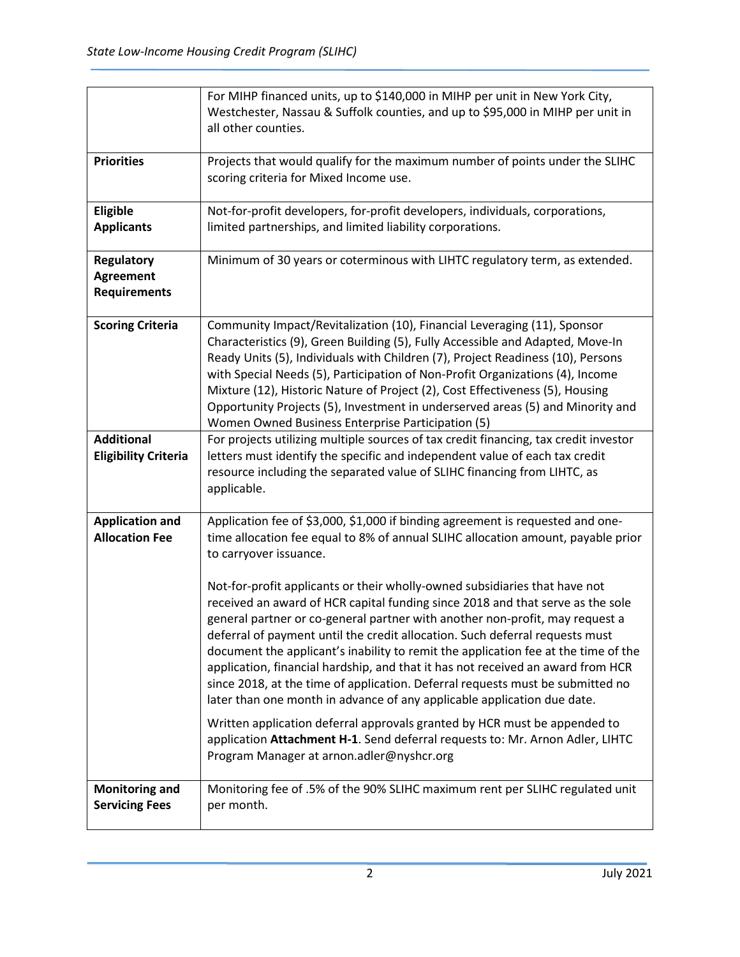|                                                              | For MIHP financed units, up to \$140,000 in MIHP per unit in New York City,<br>Westchester, Nassau & Suffolk counties, and up to \$95,000 in MIHP per unit in<br>all other counties.                                                                                                                                                                                                                                                                                                                                                                                                                                                                                                                                                                                                                                                                                                                                                                                                                                                                                          |
|--------------------------------------------------------------|-------------------------------------------------------------------------------------------------------------------------------------------------------------------------------------------------------------------------------------------------------------------------------------------------------------------------------------------------------------------------------------------------------------------------------------------------------------------------------------------------------------------------------------------------------------------------------------------------------------------------------------------------------------------------------------------------------------------------------------------------------------------------------------------------------------------------------------------------------------------------------------------------------------------------------------------------------------------------------------------------------------------------------------------------------------------------------|
| <b>Priorities</b>                                            | Projects that would qualify for the maximum number of points under the SLIHC<br>scoring criteria for Mixed Income use.                                                                                                                                                                                                                                                                                                                                                                                                                                                                                                                                                                                                                                                                                                                                                                                                                                                                                                                                                        |
| Eligible<br><b>Applicants</b>                                | Not-for-profit developers, for-profit developers, individuals, corporations,<br>limited partnerships, and limited liability corporations.                                                                                                                                                                                                                                                                                                                                                                                                                                                                                                                                                                                                                                                                                                                                                                                                                                                                                                                                     |
| <b>Regulatory</b><br><b>Agreement</b><br><b>Requirements</b> | Minimum of 30 years or coterminous with LIHTC regulatory term, as extended.                                                                                                                                                                                                                                                                                                                                                                                                                                                                                                                                                                                                                                                                                                                                                                                                                                                                                                                                                                                                   |
| <b>Scoring Criteria</b>                                      | Community Impact/Revitalization (10), Financial Leveraging (11), Sponsor<br>Characteristics (9), Green Building (5), Fully Accessible and Adapted, Move-In<br>Ready Units (5), Individuals with Children (7), Project Readiness (10), Persons<br>with Special Needs (5), Participation of Non-Profit Organizations (4), Income<br>Mixture (12), Historic Nature of Project (2), Cost Effectiveness (5), Housing<br>Opportunity Projects (5), Investment in underserved areas (5) and Minority and<br>Women Owned Business Enterprise Participation (5)                                                                                                                                                                                                                                                                                                                                                                                                                                                                                                                        |
| <b>Additional</b><br><b>Eligibility Criteria</b>             | For projects utilizing multiple sources of tax credit financing, tax credit investor<br>letters must identify the specific and independent value of each tax credit<br>resource including the separated value of SLIHC financing from LIHTC, as<br>applicable.                                                                                                                                                                                                                                                                                                                                                                                                                                                                                                                                                                                                                                                                                                                                                                                                                |
| <b>Application and</b><br><b>Allocation Fee</b>              | Application fee of \$3,000, \$1,000 if binding agreement is requested and one-<br>time allocation fee equal to 8% of annual SLIHC allocation amount, payable prior<br>to carryover issuance.<br>Not-for-profit applicants or their wholly-owned subsidiaries that have not<br>received an award of HCR capital funding since 2018 and that serve as the sole<br>general partner or co-general partner with another non-profit, may request a<br>deferral of payment until the credit allocation. Such deferral requests must<br>document the applicant's inability to remit the application fee at the time of the<br>application, financial hardship, and that it has not received an award from HCR<br>since 2018, at the time of application. Deferral requests must be submitted no<br>later than one month in advance of any applicable application due date.<br>Written application deferral approvals granted by HCR must be appended to<br>application Attachment H-1. Send deferral requests to: Mr. Arnon Adler, LIHTC<br>Program Manager at arnon.adler@nyshcr.org |
| <b>Monitoring and</b><br><b>Servicing Fees</b>               | Monitoring fee of .5% of the 90% SLIHC maximum rent per SLIHC regulated unit<br>per month.                                                                                                                                                                                                                                                                                                                                                                                                                                                                                                                                                                                                                                                                                                                                                                                                                                                                                                                                                                                    |